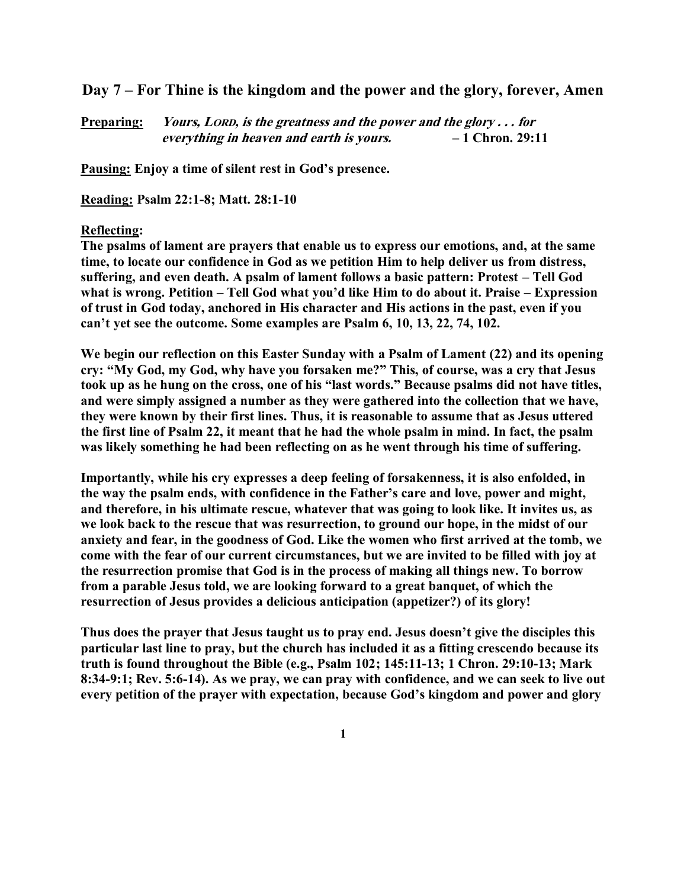**Day 7 – For Thine is the kingdom and the power and the glory, forever, Amen**

**Preparing: Yours, LORD, is the greatness and the power and the glory . . . for everything in heaven and earth is yours. – 1 Chron. 29:11**

**Pausing: Enjoy a time of silent rest in God's presence.**

**Reading: Psalm 22:1-8; Matt. 28:1-10**

## **Reflecting:**

**The psalms of lament are prayers that enable us to express our emotions, and, at the same time, to locate our confidence in God as we petition Him to help deliver us from distress,**  suffering, and even death. A psalm of lament follows a basic pattern: Protest – Tell God **what is wrong. Petition – Tell God what you'd like Him to do about it. Praise – Expression of trust in God today, anchored in His character and His actions in the past, even if you can't yet see the outcome. Some examples are Psalm 6, 10, 13, 22, 74, 102.** 

**We begin our reflection on this Easter Sunday with a Psalm of Lament (22) and its opening cry: "My God, my God, why have you forsaken me?" This, of course, was a cry that Jesus took up as he hung on the cross, one of his "last words." Because psalms did not have titles, and were simply assigned a number as they were gathered into the collection that we have, they were known by their first lines. Thus, it is reasonable to assume that as Jesus uttered the first line of Psalm 22, it meant that he had the whole psalm in mind. In fact, the psalm was likely something he had been reflecting on as he went through his time of suffering.** 

**Importantly, while his cry expresses a deep feeling of forsakenness, it is also enfolded, in the way the psalm ends, with confidence in the Father's care and love, power and might, and therefore, in his ultimate rescue, whatever that was going to look like. It invites us, as we look back to the rescue that was resurrection, to ground our hope, in the midst of our anxiety and fear, in the goodness of God. Like the women who first arrived at the tomb, we come with the fear of our current circumstances, but we are invited to be filled with joy at the resurrection promise that God is in the process of making all things new. To borrow from a parable Jesus told, we are looking forward to a great banquet, of which the resurrection of Jesus provides a delicious anticipation (appetizer?) of its glory!** 

**Thus does the prayer that Jesus taught us to pray end. Jesus doesn't give the disciples this particular last line to pray, but the church has included it as a fitting crescendo because its truth is found throughout the Bible (e.g., Psalm 102; 145:11-13; 1 Chron. 29:10-13; Mark 8:34-9:1; Rev. 5:6-14). As we pray, we can pray with confidence, and we can seek to live out every petition of the prayer with expectation, because God's kingdom and power and glory**